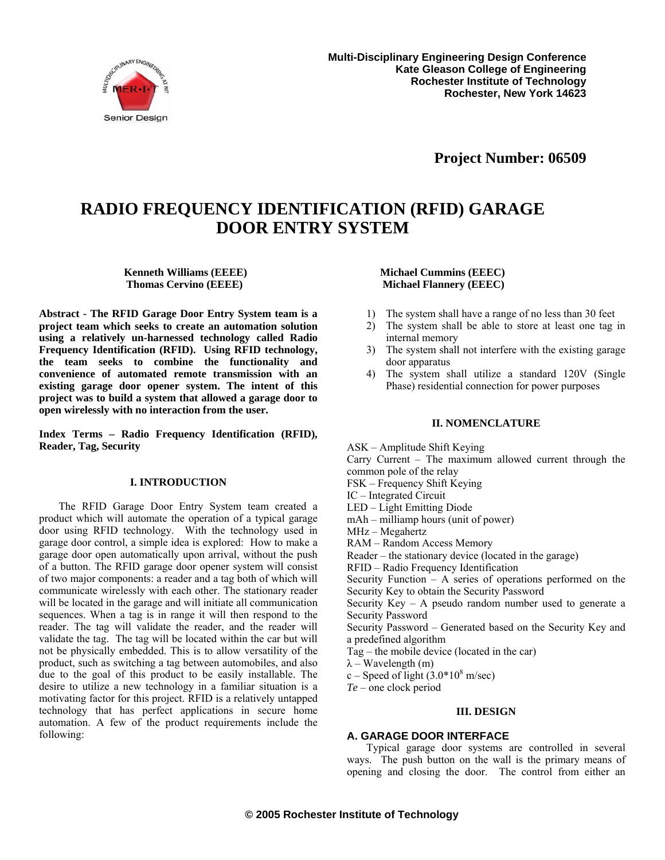

**Project Number: 06509**

## **RADIO FREQUENCY IDENTIFICATION (RFID) GARAGE DOOR ENTRY SYSTEM**

**Kenneth Williams (EEEE) Michael Cummins (EEEC)** 

**Abstract - The RFID Garage Door Entry System team is a project team which seeks to create an automation solution using a relatively un-harnessed technology called Radio Frequency Identification (RFID). Using RFID technology, the team seeks to combine the functionality and convenience of automated remote transmission with an existing garage door opener system. The intent of this project was to build a system that allowed a garage door to open wirelessly with no interaction from the user.** 

**Index Terms – Radio Frequency Identification (RFID), Reader, Tag, Security** 

#### **I. INTRODUCTION**

The RFID Garage Door Entry System team created a product which will automate the operation of a typical garage door using RFID technology. With the technology used in garage door control, a simple idea is explored: How to make a garage door open automatically upon arrival, without the push of a button. The RFID garage door opener system will consist of two major components: a reader and a tag both of which will communicate wirelessly with each other. The stationary reader will be located in the garage and will initiate all communication sequences. When a tag is in range it will then respond to the reader. The tag will validate the reader, and the reader will validate the tag. The tag will be located within the car but will not be physically embedded. This is to allow versatility of the product, such as switching a tag between automobiles, and also due to the goal of this product to be easily installable. The desire to utilize a new technology in a familiar situation is a motivating factor for this project. RFID is a relatively untapped technology that has perfect applications in secure home automation. A few of the product requirements include the following:

# **Thomas Cervino (EEEE) Michael Flannery (EEEC)**

- 1) The system shall have a range of no less than 30 feet
- 2) The system shall be able to store at least one tag in internal memory
- 3) The system shall not interfere with the existing garage door apparatus
- 4) The system shall utilize a standard 120V (Single Phase) residential connection for power purposes

#### **II. NOMENCLATURE**

ASK – Amplitude Shift Keying Carry Current – The maximum allowed current through the common pole of the relay FSK – Frequency Shift Keying IC – Integrated Circuit LED – Light Emitting Diode mAh – milliamp hours (unit of power) MHz – Megahertz RAM – Random Access Memory Reader – the stationary device (located in the garage) RFID – Radio Frequency Identification Security Function – A series of operations performed on the Security Key to obtain the Security Password Security  $Key - A$  pseudo random number used to generate a Security Password Security Password – Generated based on the Security Key and a predefined algorithm Tag – the mobile device (located in the car)  $\lambda$  – Wavelength (m) c – Speed of light  $(3.0*10<sup>8</sup> \text{ m/sec})$ *Te* – one clock period

### **III. DESIGN**

#### **A. GARAGE DOOR INTERFACE**

Typical garage door systems are controlled in several ways. The push button on the wall is the primary means of opening and closing the door. The control from either an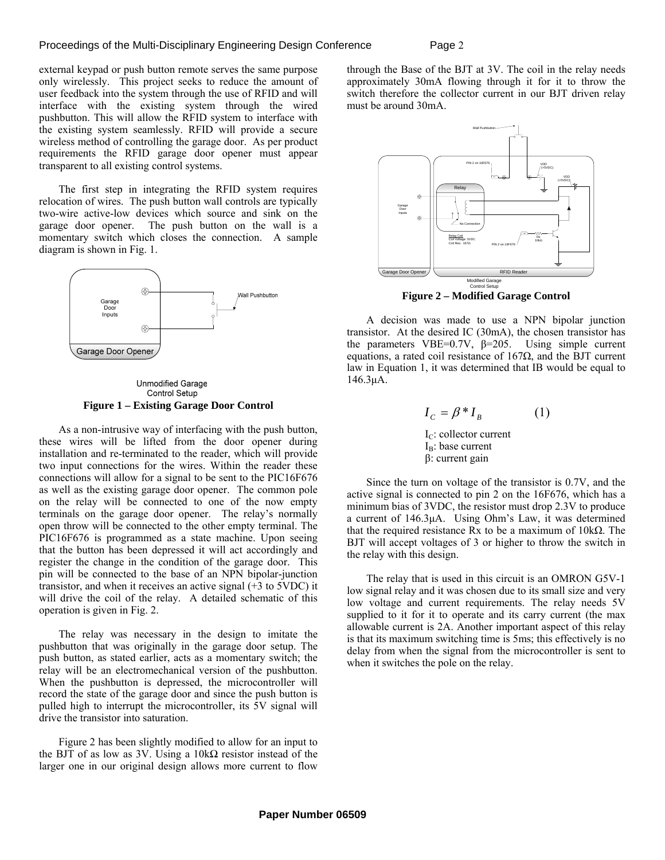external keypad or push button remote serves the same purpose only wirelessly. This project seeks to reduce the amount of user feedback into the system through the use of RFID and will interface with the existing system through the wired pushbutton. This will allow the RFID system to interface with the existing system seamlessly. RFID will provide a secure wireless method of controlling the garage door. As per product requirements the RFID garage door opener must appear transparent to all existing control systems.

The first step in integrating the RFID system requires relocation of wires. The push button wall controls are typically two-wire active-low devices which source and sink on the garage door opener. The push button on the wall is a momentary switch which closes the connection. A sample diagram is shown in Fig. 1.



**Unmodified Garage** Control Setup **Figure 1 – Existing Garage Door Control** 

As a non-intrusive way of interfacing with the push button, these wires will be lifted from the door opener during installation and re-terminated to the reader, which will provide two input connections for the wires. Within the reader these connections will allow for a signal to be sent to the PIC16F676 as well as the existing garage door opener. The common pole on the relay will be connected to one of the now empty terminals on the garage door opener. The relay's normally open throw will be connected to the other empty terminal. The PIC16F676 is programmed as a state machine. Upon seeing that the button has been depressed it will act accordingly and register the change in the condition of the garage door. This pin will be connected to the base of an NPN bipolar-junction transistor, and when it receives an active signal (+3 to 5VDC) it will drive the coil of the relay. A detailed schematic of this operation is given in Fig. 2.

The relay was necessary in the design to imitate the pushbutton that was originally in the garage door setup. The push button, as stated earlier, acts as a momentary switch; the relay will be an electromechanical version of the pushbutton. When the pushbutton is depressed, the microcontroller will record the state of the garage door and since the push button is pulled high to interrupt the microcontroller, its 5V signal will drive the transistor into saturation.

Figure 2 has been slightly modified to allow for an input to the BJT of as low as 3V. Using a  $10kΩ$  resistor instead of the larger one in our original design allows more current to flow

through the Base of the BJT at 3V. The coil in the relay needs approximately 30mA flowing through it for it to throw the switch therefore the collector current in our BJT driven relay must be around 30mA.



A decision was made to use a NPN bipolar junction transistor. At the desired IC (30mA), the chosen transistor has the parameters VBE=0.7V,  $\beta$ =205. Using simple current equations, a rated coil resistance of  $167\Omega$ , and the BJT current law in Equation 1, it was determined that IB would be equal to 146.3μA.

$$
I_C = \beta * I_B \tag{1}
$$
  
\nI<sub>C</sub>: collector current  
\nI<sub>B</sub>: base current  
\n
$$
\beta
$$
: current gain

Since the turn on voltage of the transistor is 0.7V, and the active signal is connected to pin 2 on the 16F676, which has a minimum bias of 3VDC, the resistor must drop 2.3V to produce a current of 146.3μA. Using Ohm's Law, it was determined that the required resistance Rx to be a maximum of  $10kΩ$ . The BJT will accept voltages of 3 or higher to throw the switch in the relay with this design.

The relay that is used in this circuit is an OMRON G5V-1 low signal relay and it was chosen due to its small size and very low voltage and current requirements. The relay needs 5V supplied to it for it to operate and its carry current (the max allowable current is 2A. Another important aspect of this relay is that its maximum switching time is 5ms; this effectively is no delay from when the signal from the microcontroller is sent to when it switches the pole on the relay.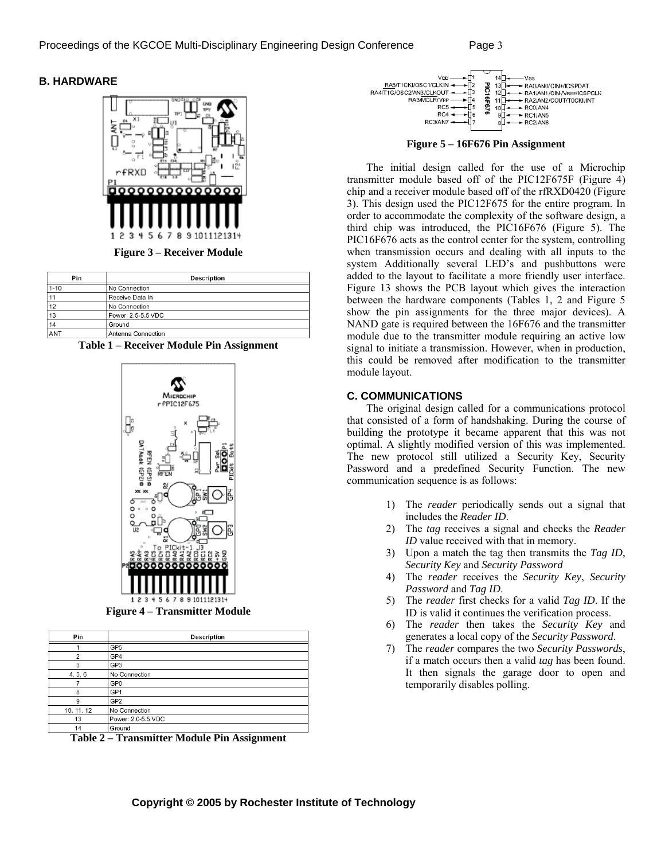### **B. HARDWARE**



**Figure 3 – Receiver Module** 

| Pin      | Description        |  |  |
|----------|--------------------|--|--|
| $1 - 10$ | No Connection      |  |  |
| 11       | Receive Data In    |  |  |
| 12       | No Connection      |  |  |
| 13       | Power: 2.5-5.5 VDC |  |  |
| 14       | Ground             |  |  |
| ANT      | Antenna Connection |  |  |





**Figure 4 – Transmitter Module** 

| Pin            | <b>Description</b>         |  |  |
|----------------|----------------------------|--|--|
|                | GP <sub>5</sub>            |  |  |
| $\overline{2}$ | GP4                        |  |  |
| 3              | GP3                        |  |  |
| 4, 5, 6        | No Connection              |  |  |
|                | GP <sub>0</sub>            |  |  |
| 8              | GP <sub>1</sub>            |  |  |
| 9              | GP <sub>2</sub>            |  |  |
| 10, 11, 12     | No Connection              |  |  |
| 13             | Power: 2.0-5.5 VDC         |  |  |
| 14             | Ground<br>______<br>$\sim$ |  |  |

**Table 2 – Transmitter Module Pin Assignment** 



**Figure 5 – 16F676 Pin Assignment** 

The initial design called for the use of a Microchip transmitter module based off of the PIC12F675F (Figure 4) chip and a receiver module based off of the rfRXD0420 (Figure 3). This design used the PIC12F675 for the entire program. In order to accommodate the complexity of the software design, a third chip was introduced, the PIC16F676 (Figure 5). The PIC16F676 acts as the control center for the system, controlling when transmission occurs and dealing with all inputs to the system Additionally several LED's and pushbuttons were added to the layout to facilitate a more friendly user interface. Figure 13 shows the PCB layout which gives the interaction between the hardware components (Tables 1, 2 and Figure 5 show the pin assignments for the three major devices). A NAND gate is required between the 16F676 and the transmitter module due to the transmitter module requiring an active low signal to initiate a transmission. However, when in production, this could be removed after modification to the transmitter module layout.

#### **C. COMMUNICATIONS**

The original design called for a communications protocol that consisted of a form of handshaking. During the course of building the prototype it became apparent that this was not optimal. A slightly modified version of this was implemented. The new protocol still utilized a Security Key, Security Password and a predefined Security Function. The new communication sequence is as follows:

- 1) The *reader* periodically sends out a signal that includes the *Reader ID*.
- 2) The *tag* receives a signal and checks the *Reader ID* value received with that in memory.
- 3) Upon a match the tag then transmits the *Tag ID*, *Security Key* and *Security Password*
- 4) The *reader* receives the *Security Key*, *Security Password* and *Tag ID*.
- 5) The *reader* first checks for a valid *Tag ID*. If the ID is valid it continues the verification process.
- 6) The *reader* then takes the *Security Key* and generates a local copy of the *Security Password*.
- 7) The *reader* compares the two *Security Passwords*, if a match occurs then a valid *tag* has been found. It then signals the garage door to open and temporarily disables polling.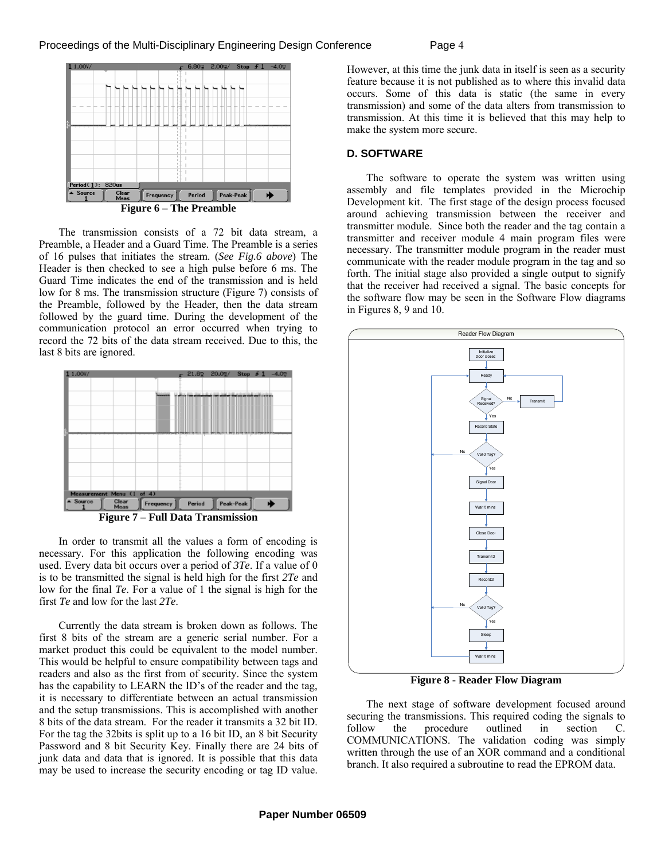

The transmission consists of a 72 bit data stream, a Preamble, a Header and a Guard Time. The Preamble is a series of 16 pulses that initiates the stream. (*See Fig.6 above*) The Header is then checked to see a high pulse before 6 ms. The Guard Time indicates the end of the transmission and is held low for 8 ms. The transmission structure (Figure 7) consists of the Preamble, followed by the Header, then the data stream followed by the guard time. During the development of the communication protocol an error occurred when trying to record the 72 bits of the data stream received. Due to this, the last 8 bits are ignored.



In order to transmit all the values a form of encoding is necessary. For this application the following encoding was used. Every data bit occurs over a period of *3Te*. If a value of 0 is to be transmitted the signal is held high for the first *2Te* and low for the final *Te*. For a value of 1 the signal is high for the first *Te* and low for the last *2Te*.

Currently the data stream is broken down as follows. The first 8 bits of the stream are a generic serial number. For a market product this could be equivalent to the model number. This would be helpful to ensure compatibility between tags and readers and also as the first from of security. Since the system has the capability to LEARN the ID's of the reader and the tag, it is necessary to differentiate between an actual transmission and the setup transmissions. This is accomplished with another 8 bits of the data stream. For the reader it transmits a 32 bit ID. For the tag the 32bits is split up to a 16 bit ID, an 8 bit Security Password and 8 bit Security Key. Finally there are 24 bits of junk data and data that is ignored. It is possible that this data may be used to increase the security encoding or tag ID value.

However, at this time the junk data in itself is seen as a security feature because it is not published as to where this invalid data occurs. Some of this data is static (the same in every transmission) and some of the data alters from transmission to transmission. At this time it is believed that this may help to make the system more secure.

#### **D. SOFTWARE**

The software to operate the system was written using assembly and file templates provided in the Microchip Development kit. The first stage of the design process focused around achieving transmission between the receiver and transmitter module. Since both the reader and the tag contain a transmitter and receiver module 4 main program files were necessary. The transmitter module program in the reader must communicate with the reader module program in the tag and so forth. The initial stage also provided a single output to signify that the receiver had received a signal. The basic concepts for the software flow may be seen in the Software Flow diagrams in Figures 8, 9 and 10.



**Figure 8 - Reader Flow Diagram**

The next stage of software development focused around securing the transmissions. This required coding the signals to follow the procedure outlined in section C. COMMUNICATIONS. The validation coding was simply written through the use of an XOR command and a conditional branch. It also required a subroutine to read the EPROM data.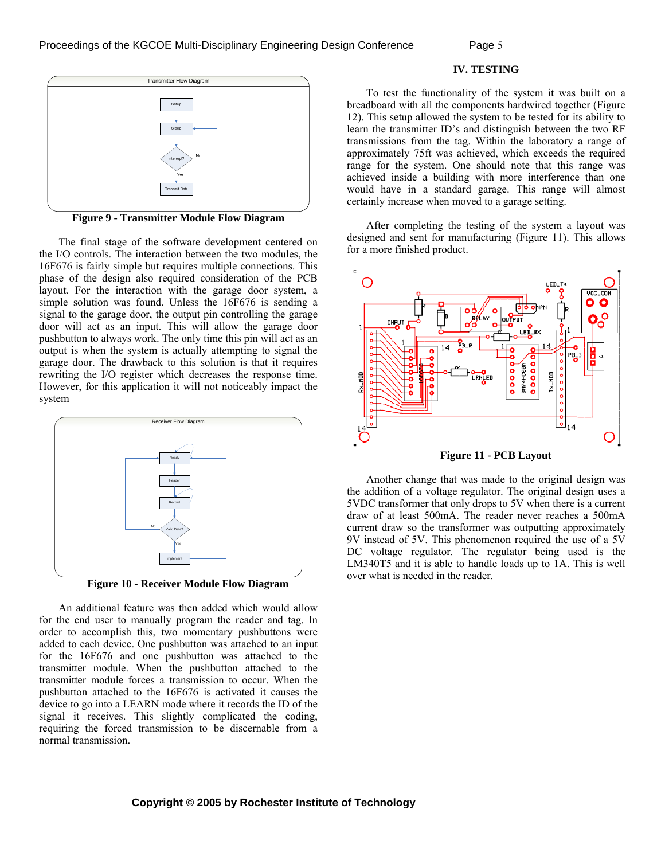

**Figure 9 - Transmitter Module Flow Diagram**

The final stage of the software development centered on the I/O controls. The interaction between the two modules, the 16F676 is fairly simple but requires multiple connections. This phase of the design also required consideration of the PCB layout. For the interaction with the garage door system, a simple solution was found. Unless the 16F676 is sending a signal to the garage door, the output pin controlling the garage door will act as an input. This will allow the garage door pushbutton to always work. The only time this pin will act as an output is when the system is actually attempting to signal the garage door. The drawback to this solution is that it requires rewriting the I/O register which decreases the response time. However, for this application it will not noticeably impact the system



**Figure 10 - Receiver Module Flow Diagram** 

An additional feature was then added which would allow for the end user to manually program the reader and tag. In order to accomplish this, two momentary pushbuttons were added to each device. One pushbutton was attached to an input for the 16F676 and one pushbutton was attached to the transmitter module. When the pushbutton attached to the transmitter module forces a transmission to occur. When the pushbutton attached to the 16F676 is activated it causes the device to go into a LEARN mode where it records the ID of the signal it receives. This slightly complicated the coding, requiring the forced transmission to be discernable from a normal transmission.

#### **IV. TESTING**

To test the functionality of the system it was built on a breadboard with all the components hardwired together (Figure 12). This setup allowed the system to be tested for its ability to learn the transmitter ID's and distinguish between the two RF transmissions from the tag. Within the laboratory a range of approximately 75ft was achieved, which exceeds the required range for the system. One should note that this range was achieved inside a building with more interference than one would have in a standard garage. This range will almost certainly increase when moved to a garage setting.

After completing the testing of the system a layout was designed and sent for manufacturing (Figure 11). This allows for a more finished product.



**Figure 11 - PCB Layout** 

Another change that was made to the original design was the addition of a voltage regulator. The original design uses a 5VDC transformer that only drops to 5V when there is a current draw of at least 500mA. The reader never reaches a 500mA current draw so the transformer was outputting approximately 9V instead of 5V. This phenomenon required the use of a 5V DC voltage regulator. The regulator being used is the LM340T5 and it is able to handle loads up to 1A. This is well over what is needed in the reader.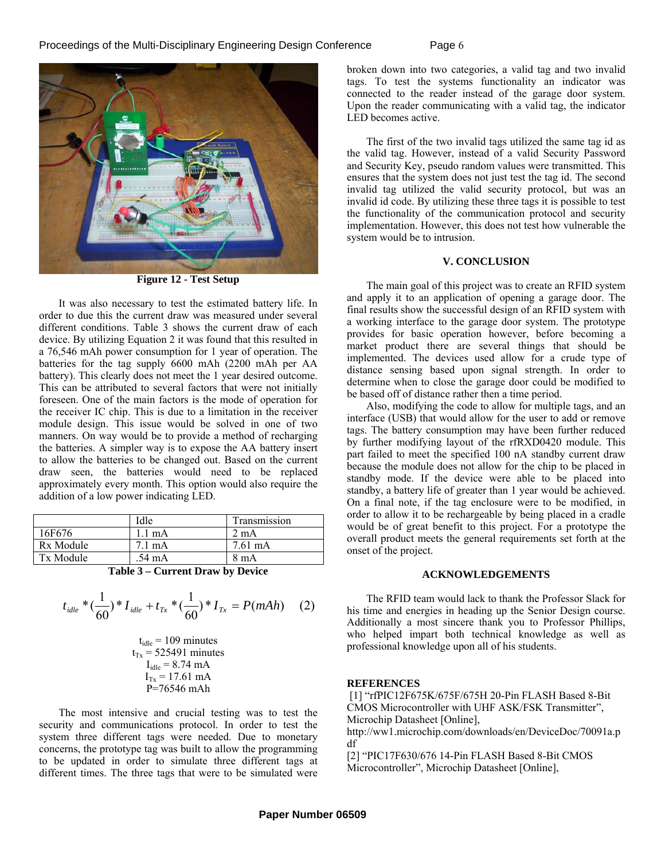

**Figure 12 - Test Setup** 

It was also necessary to test the estimated battery life. In order to due this the current draw was measured under several different conditions. Table 3 shows the current draw of each device. By utilizing Equation 2 it was found that this resulted in a 76,546 mAh power consumption for 1 year of operation. The batteries for the tag supply 6600 mAh (2200 mAh per AA battery). This clearly does not meet the 1 year desired outcome. This can be attributed to several factors that were not initially foreseen. One of the main factors is the mode of operation for the receiver IC chip. This is due to a limitation in the receiver module design. This issue would be solved in one of two manners. On way would be to provide a method of recharging the batteries. A simpler way is to expose the AA battery insert to allow the batteries to be changed out. Based on the current draw seen, the batteries would need to be replaced approximately every month. This option would also require the addition of a low power indicating LED.

|                            | Idle             | Transmission      |  |
|----------------------------|------------------|-------------------|--|
| 16F676                     | $1.1 \text{ mA}$ | 2 mA              |  |
| Rx Module                  | $7.1 \text{ mA}$ | $7.61 \text{ mA}$ |  |
| Tx Module                  | .54 mA           | 8 mA              |  |
| m 11 ^<br>$\alpha$ in in i |                  |                   |  |

**Table 3 – Current Draw by Device** 

$$
t_{idle} * (\frac{1}{60}) * I_{idle} + t_{Tx} * (\frac{1}{60}) * I_{Tx} = P(mAh) \quad (2)
$$

$$
t_{idle} = 109
$$
 minutes  
\n $t_{Tx} = 525491$  minutes  
\n $I_{idle} = 8.74$  mA  
\n $I_{Tx} = 17.61$  mA  
\n $P=76546$  mAh

The most intensive and crucial testing was to test the security and communications protocol. In order to test the system three different tags were needed. Due to monetary concerns, the prototype tag was built to allow the programming to be updated in order to simulate three different tags at different times. The three tags that were to be simulated were broken down into two categories, a valid tag and two invalid tags. To test the systems functionality an indicator was connected to the reader instead of the garage door system. Upon the reader communicating with a valid tag, the indicator LED becomes active.

The first of the two invalid tags utilized the same tag id as the valid tag. However, instead of a valid Security Password and Security Key, pseudo random values were transmitted. This ensures that the system does not just test the tag id. The second invalid tag utilized the valid security protocol, but was an invalid id code. By utilizing these three tags it is possible to test the functionality of the communication protocol and security implementation. However, this does not test how vulnerable the system would be to intrusion.

#### **V. CONCLUSION**

The main goal of this project was to create an RFID system and apply it to an application of opening a garage door. The final results show the successful design of an RFID system with a working interface to the garage door system. The prototype provides for basic operation however, before becoming a market product there are several things that should be implemented. The devices used allow for a crude type of distance sensing based upon signal strength. In order to determine when to close the garage door could be modified to be based off of distance rather then a time period.

Also, modifying the code to allow for multiple tags, and an interface (USB) that would allow for the user to add or remove tags. The battery consumption may have been further reduced by further modifying layout of the rfRXD0420 module. This part failed to meet the specified 100 nA standby current draw because the module does not allow for the chip to be placed in standby mode. If the device were able to be placed into standby, a battery life of greater than 1 year would be achieved. On a final note, if the tag enclosure were to be modified, in order to allow it to be rechargeable by being placed in a cradle would be of great benefit to this project. For a prototype the overall product meets the general requirements set forth at the onset of the project.

#### **ACKNOWLEDGEMENTS**

The RFID team would lack to thank the Professor Slack for his time and energies in heading up the Senior Design course. Additionally a most sincere thank you to Professor Phillips, who helped impart both technical knowledge as well as professional knowledge upon all of his students.

#### **REFERENCES**

 [1] "rfPIC12F675K/675F/675H 20-Pin FLASH Based 8-Bit CMOS Microcontroller with UHF ASK/FSK Transmitter", Microchip Datasheet [Online], http://ww1.microchip.com/downloads/en/DeviceDoc/70091a.p df

[2] "PIC17F630/676 14-Pin FLASH Based 8-Bit CMOS Microcontroller", Microchip Datasheet [Online],